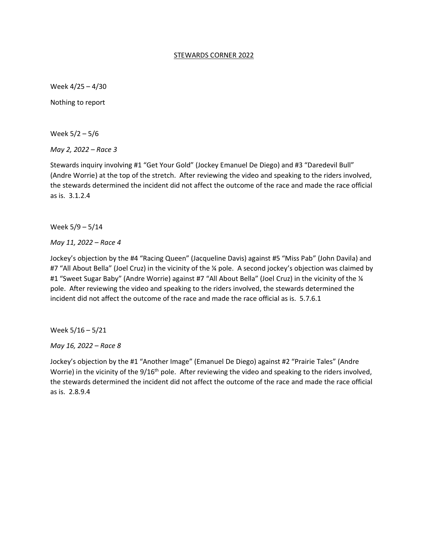#### STEWARDS CORNER 2022

Week 4/25 – 4/30

Nothing to report

Week 5/2 – 5/6

*May 2, 2022 – Race 3*

Stewards inquiry involving #1 "Get Your Gold" (Jockey Emanuel De Diego) and #3 "Daredevil Bull" (Andre Worrie) at the top of the stretch. After reviewing the video and speaking to the riders involved, the stewards determined the incident did not affect the outcome of the race and made the race official as is. 3.1.2.4

Week 5/9 – 5/14

*May 11, 2022 – Race 4*

Jockey's objection by the #4 "Racing Queen" (Jacqueline Davis) against #5 "Miss Pab" (John Davila) and #7 "All About Bella" (Joel Cruz) in the vicinity of the ¼ pole. A second jockey's objection was claimed by #1 "Sweet Sugar Baby" (Andre Worrie) against #7 "All About Bella" (Joel Cruz) in the vicinity of the 1/4 pole. After reviewing the video and speaking to the riders involved, the stewards determined the incident did not affect the outcome of the race and made the race official as is. 5.7.6.1

Week 5/16 – 5/21

*May 16, 2022 – Race 8*

Jockey's objection by the #1 "Another Image" (Emanuel De Diego) against #2 "Prairie Tales" (Andre Worrie) in the vicinity of the 9/16<sup>th</sup> pole. After reviewing the video and speaking to the riders involved, the stewards determined the incident did not affect the outcome of the race and made the race official as is. 2.8.9.4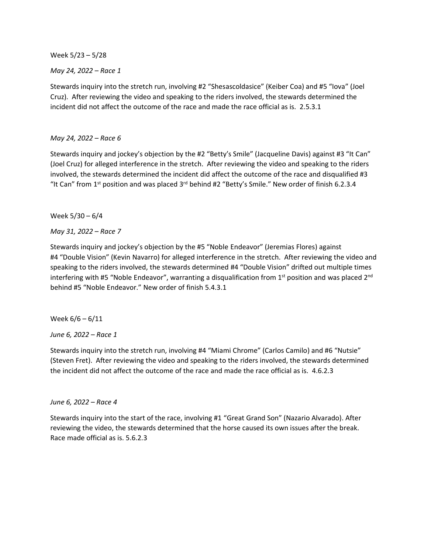Week 5/23 – 5/28

*May 24, 2022 – Race 1*

Stewards inquiry into the stretch run, involving #2 "Shesascoldasice" (Keiber Coa) and #5 "Iova" (Joel Cruz). After reviewing the video and speaking to the riders involved, the stewards determined the incident did not affect the outcome of the race and made the race official as is. 2.5.3.1

# *May 24, 2022 – Race 6*

Stewards inquiry and jockey's objection by the #2 "Betty's Smile" (Jacqueline Davis) against #3 "It Can" (Joel Cruz) for alleged interference in the stretch. After reviewing the video and speaking to the riders involved, the stewards determined the incident did affect the outcome of the race and disqualified #3 "It Can" from  $1<sup>st</sup>$  position and was placed  $3<sup>rd</sup>$  behind #2 "Betty's Smile." New order of finish 6.2.3.4

Week 5/30 – 6/4

*May 31, 2022 – Race 7*

Stewards inquiry and jockey's objection by the #5 "Noble Endeavor" (Jeremias Flores) against #4 "Double Vision" (Kevin Navarro) for alleged interference in the stretch. After reviewing the video and speaking to the riders involved, the stewards determined #4 "Double Vision" drifted out multiple times interfering with #5 "Noble Endeavor", warranting a disqualification from  $1<sup>st</sup>$  position and was placed  $2<sup>nd</sup>$ behind #5 "Noble Endeavor." New order of finish 5.4.3.1

Week 6/6 – 6/11

*June 6, 2022 – Race 1*

Stewards inquiry into the stretch run, involving #4 "Miami Chrome" (Carlos Camilo) and #6 "Nutsie" (Steven Fret). After reviewing the video and speaking to the riders involved, the stewards determined the incident did not affect the outcome of the race and made the race official as is. 4.6.2.3

### *June 6, 2022 – Race 4*

Stewards inquiry into the start of the race, involving #1 "Great Grand Son" (Nazario Alvarado). After reviewing the video, the stewards determined that the horse caused its own issues after the break. Race made official as is. 5.6.2.3